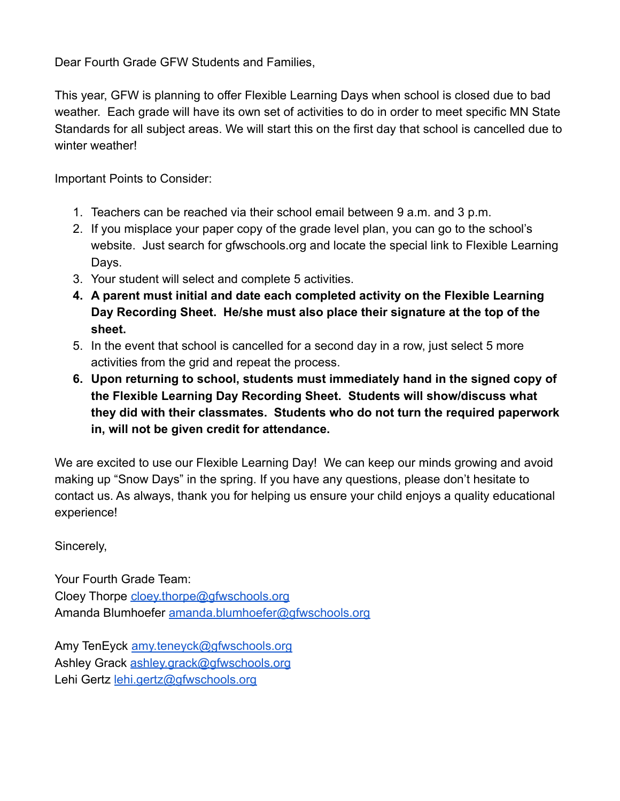Dear Fourth Grade GFW Students and Families,

This year, GFW is planning to offer Flexible Learning Days when school is closed due to bad weather. Each grade will have its own set of activities to do in order to meet specific MN State Standards for all subject areas. We will start this on the first day that school is cancelled due to winter weather!

Important Points to Consider:

- 1. Teachers can be reached via their school email between 9 a.m. and 3 p.m.
- 2. If you misplace your paper copy of the grade level plan, you can go to the school's website. Just search for gfwschools.org and locate the special link to Flexible Learning Days.
- 3. Your student will select and complete 5 activities.
- **4. A parent must initial and date each completed activity on the Flexible Learning Day Recording Sheet. He/she must also place their signature at the top of the sheet.**
- 5. In the event that school is cancelled for a second day in a row, just select 5 more activities from the grid and repeat the process.
- **6. Upon returning to school, students must immediately hand in the signed copy of the Flexible Learning Day Recording Sheet. Students will show/discuss what they did with their classmates. Students who do not turn the required paperwork in, will not be given credit for attendance.**

We are excited to use our Flexible Learning Day! We can keep our minds growing and avoid making up "Snow Days" in the spring. If you have any questions, please don't hesitate to contact us. As always, thank you for helping us ensure your child enjoys a quality educational experience!

Sincerely,

Your Fourth Grade Team: Cloey Thorpe [cloey.thorpe@gfwschools.org](mailto:cloey.thorpe@gfwschools.org) Amanda Blumhoefer [amanda.blumhoefer@gfwschools.org](mailto:amanda.blumhoefer@gfwschools.org)

Amy TenEyck [amy.teneyck@gfwschools.org](mailto:amy.teneyck@gfwschools.org) Ashley Grack [ashley.grack@gfwschools.org](mailto:ashley.grack@gfwschools.org) Lehi Gertz [lehi.gertz@gfwschools.org](mailto:lehi.gertz@gfwschools.org)